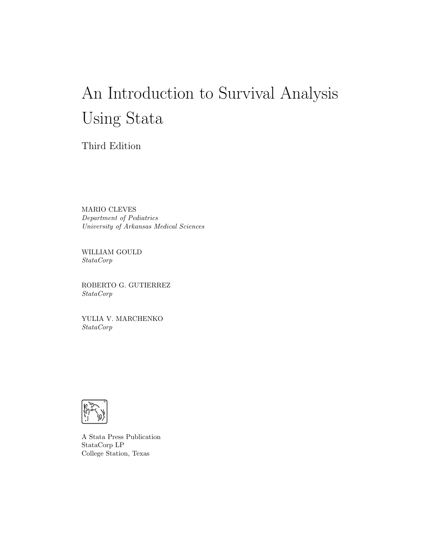# An Introduction to Survival Analysis Using Stata

Third Edition

MARIO CLEVES Department of Pediatrics University of Arkansas Medical Sciences

WILLIAM GOULD StataCorp

ROBERTO G. GUTIERREZ StataCorp

YULIA V. MARCHENKO StataCorp



A Stata Press Publication StataCorp LP College Station, Texas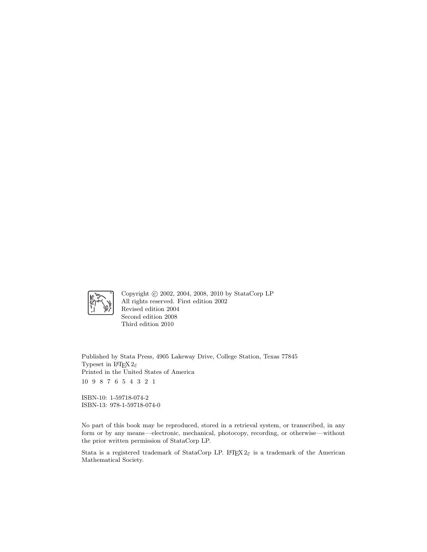

Copyright © 2002, 2004, 2008, 2010 by StataCorp LP All rights reserved. First edition 2002 Revised edition 2004 Second edition 2008 Third edition 2010

Published by Stata Press, 4905 Lakeway Drive, College Station, Texas 77845 Typeset in L<sup>AT</sup>FX  $2\varepsilon$ Printed in the United States of America 10 9 8 7 6 5 4 3 2 1

ISBN-10: 1-59718-074-2 ISBN-13: 978-1-59718-074-0

No part of this book may be reproduced, stored in a retrieval system, or transcribed, in any form or by any means—electronic, mechanical, photocopy, recording, or otherwise—without the prior written permission of StataCorp LP.

Stata is a registered trademark of StataCorp LP. LATEX  $2\varepsilon$  is a trademark of the American Mathematical Society.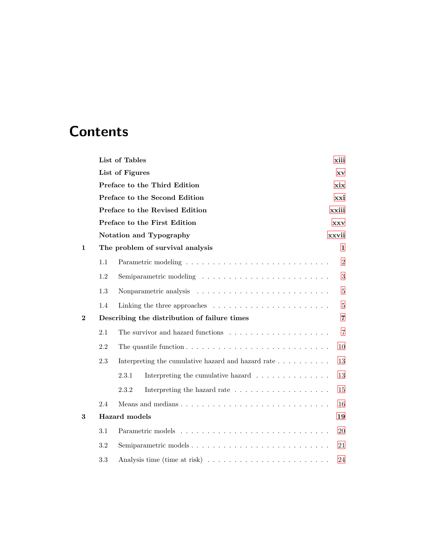# **Contents**

|          |     | List of Tables                                                                         | xiii           |
|----------|-----|----------------------------------------------------------------------------------------|----------------|
|          |     | List of Figures                                                                        | XV             |
|          |     | Preface to the Third Edition                                                           | xix            |
|          |     | Preface to the Second Edition                                                          | xxi            |
|          |     | Preface to the Revised Edition                                                         | xxiii          |
|          |     | Preface to the First Edition                                                           | <b>XXV</b>     |
|          |     | Notation and Typography                                                                | xxvii          |
| 1        |     | The problem of survival analysis                                                       | 1              |
|          | 1.1 |                                                                                        | $\overline{2}$ |
|          | 1.2 |                                                                                        | 3              |
|          | 1.3 |                                                                                        | 5              |
|          | 1.4 | Linking the three approaches $\dots \dots \dots \dots \dots \dots \dots \dots$         | $\overline{5}$ |
| $\bf{2}$ |     | Describing the distribution of failure times                                           | 7              |
|          | 2.1 | The survivor and hazard functions $\ldots$ ,                                           | $\overline{7}$ |
|          | 2.2 | The quantile function $\ldots \ldots \ldots \ldots \ldots \ldots \ldots \ldots \ldots$ | 10             |
|          | 2.3 | Interpreting the cumulative hazard and hazard rate $\ldots \ldots \ldots$              | 13             |
|          |     | 2.3.1<br>Interpreting the cumulative hazard                                            | 13             |
|          |     | 2.3.2                                                                                  | 15             |
|          | 2.4 | Means and medians                                                                      | 16             |
| 3        |     | <b>Hazard</b> models                                                                   | 19             |
|          | 3.1 |                                                                                        | 20             |
|          | 3.2 | Semiparametric models                                                                  | 21             |
|          | 3.3 |                                                                                        | 24             |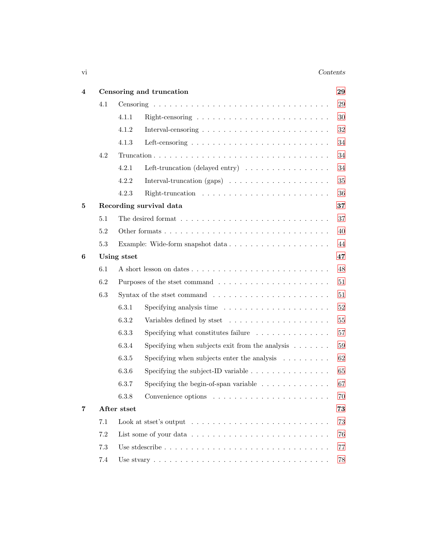## vi Contents

| $\overline{\mathbf{4}}$ | Censoring and truncation | 29                                                                                       |                                                                                               |        |  |  |  |
|-------------------------|--------------------------|------------------------------------------------------------------------------------------|-----------------------------------------------------------------------------------------------|--------|--|--|--|
|                         | 4.1                      |                                                                                          |                                                                                               | 29     |  |  |  |
|                         |                          | 4.1.1                                                                                    |                                                                                               | $30\,$ |  |  |  |
|                         |                          | 4.1.2                                                                                    |                                                                                               | 32     |  |  |  |
|                         |                          | 4.1.3                                                                                    | Left-censoring $\ldots \ldots \ldots \ldots \ldots \ldots \ldots \ldots \ldots$               | 34     |  |  |  |
|                         | 4.2                      |                                                                                          |                                                                                               | 34     |  |  |  |
|                         |                          | 4.2.1                                                                                    | Left-truncation (delayed entry) $\ldots \ldots \ldots \ldots \ldots$                          | 34     |  |  |  |
|                         |                          | 4.2.2                                                                                    | Interval-truncation (gaps) $\ldots \ldots \ldots \ldots \ldots \ldots$                        | $35\,$ |  |  |  |
|                         |                          | 4.2.3                                                                                    |                                                                                               | 36     |  |  |  |
| 5                       |                          |                                                                                          | Recording survival data                                                                       | 37     |  |  |  |
|                         | 5.1                      |                                                                                          |                                                                                               | 37     |  |  |  |
|                         | 5.2                      |                                                                                          |                                                                                               | 40     |  |  |  |
|                         | 5.3                      |                                                                                          |                                                                                               |        |  |  |  |
| 6                       |                          | Using stset<br>47                                                                        |                                                                                               |        |  |  |  |
|                         | 6.1                      |                                                                                          |                                                                                               | 48     |  |  |  |
|                         | 6.2                      | 51                                                                                       |                                                                                               |        |  |  |  |
|                         | 6.3                      | $51\,$<br>Syntax of the stset command $\ldots \ldots \ldots \ldots \ldots \ldots \ldots$ |                                                                                               |        |  |  |  |
|                         |                          | 6.3.1                                                                                    |                                                                                               | 52     |  |  |  |
|                         |                          | 6.3.2                                                                                    |                                                                                               | $55\,$ |  |  |  |
|                         |                          | 6.3.3                                                                                    | Specifying what constitutes failure $\ldots \ldots \ldots \ldots$                             | 57     |  |  |  |
|                         |                          | 6.3.4                                                                                    | Specifying when subjects exit from the analysis $\dots \dots$                                 | $59\,$ |  |  |  |
|                         |                          | 6.3.5                                                                                    | Specifying when subjects enter the analysis $\ldots \ldots \ldots$                            | 62     |  |  |  |
|                         |                          | 6.3.6                                                                                    | Specifying the subject-ID variable $\ldots \ldots \ldots \ldots \ldots$                       | 65     |  |  |  |
|                         |                          | 6.3.7                                                                                    | Specifying the begin-of-span variable $\ldots \ldots \ldots \ldots$                           | 67     |  |  |  |
|                         |                          | 6.3.8                                                                                    |                                                                                               | 70     |  |  |  |
| 7                       |                          | After stset                                                                              |                                                                                               | 73     |  |  |  |
|                         | 7.1                      |                                                                                          |                                                                                               | 73     |  |  |  |
|                         | 7.2                      |                                                                                          |                                                                                               | 76     |  |  |  |
|                         | 7.3                      |                                                                                          | Use stdescribe $\ldots \ldots \ldots \ldots \ldots \ldots \ldots \ldots \ldots \ldots \ldots$ | 77     |  |  |  |
|                         | 7.4                      | 78                                                                                       |                                                                                               |        |  |  |  |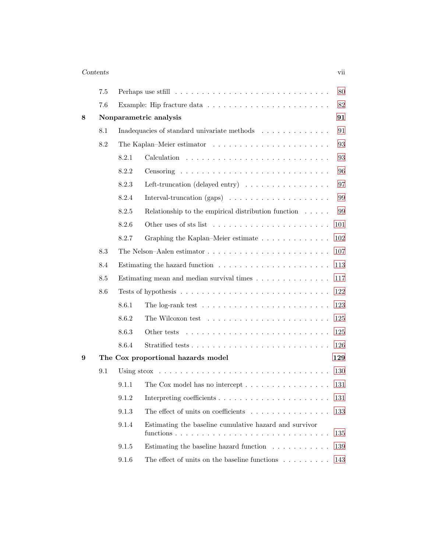| Vll |
|-----|
|     |

|   | 7.5 |       |                                                                           | 80  |  |  |  |  |
|---|-----|-------|---------------------------------------------------------------------------|-----|--|--|--|--|
|   | 7.6 |       |                                                                           |     |  |  |  |  |
| 8 |     |       | Nonparametric analysis                                                    | 91  |  |  |  |  |
|   | 8.1 |       | Inadequacies of standard univariate methods                               | 91  |  |  |  |  |
|   | 8.2 |       |                                                                           | 93  |  |  |  |  |
|   |     | 8.2.1 |                                                                           | 93  |  |  |  |  |
|   |     | 8.2.2 |                                                                           | 96  |  |  |  |  |
|   |     | 8.2.3 | Left-truncation (delayed entry) $\ldots \ldots \ldots \ldots \ldots$      | 97  |  |  |  |  |
|   |     | 8.2.4 | Interval-truncation $(gaps) \dots \dots \dots \dots \dots \dots \dots$    | 99  |  |  |  |  |
|   |     | 8.2.5 | Relationship to the empirical distribution function $\hfill\ldots\ldots$  | 99  |  |  |  |  |
|   |     | 8.2.6 |                                                                           | 101 |  |  |  |  |
|   |     | 8.2.7 | Graphing the Kaplan–Meier estimate                                        | 102 |  |  |  |  |
|   | 8.3 |       |                                                                           | 107 |  |  |  |  |
|   | 8.4 | 113   |                                                                           |     |  |  |  |  |
|   | 8.5 |       | Estimating mean and median survival times $\ldots \ldots \ldots \ldots$   | 117 |  |  |  |  |
|   | 8.6 |       |                                                                           | 122 |  |  |  |  |
|   |     | 8.6.1 | The log-rank test $\dots \dots \dots \dots \dots \dots \dots \dots \dots$ | 123 |  |  |  |  |
|   |     | 8.6.2 | The Wilcoxon test $\dots \dots \dots \dots \dots \dots \dots \dots$       | 125 |  |  |  |  |
|   |     | 8.6.3 | Other tests                                                               | 125 |  |  |  |  |
|   |     | 8.6.4 |                                                                           | 126 |  |  |  |  |
| 9 |     |       | The Cox proportional hazards model                                        | 129 |  |  |  |  |
|   | 9.1 |       |                                                                           | 130 |  |  |  |  |
|   |     | 9.1.1 | The Cox model has no intercept $\dots \dots \dots \dots \dots \dots$      | 131 |  |  |  |  |
|   |     | 9.1.2 |                                                                           | 131 |  |  |  |  |
|   |     | 9.1.3 | The effect of units on coefficients                                       | 133 |  |  |  |  |
|   |     | 9.1.4 | Estimating the baseline cumulative hazard and survivor                    | 135 |  |  |  |  |
|   |     | 9.1.5 | Estimating the baseline hazard function                                   | 139 |  |  |  |  |
|   |     | 9.1.6 | The effect of units on the baseline functions $\ldots \ldots \ldots$      | 143 |  |  |  |  |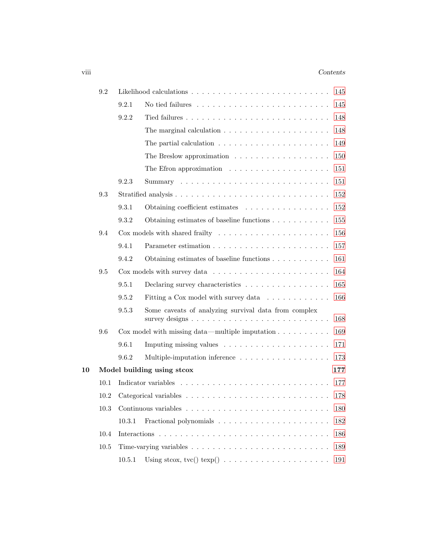## viii Contents

|    | 9.2  |           |                                                                               | 145 |
|----|------|-----------|-------------------------------------------------------------------------------|-----|
|    |      | 9.2.1     |                                                                               | 145 |
|    |      | 9.2.2     |                                                                               | 148 |
|    |      |           | The marginal calculation $\ldots \ldots \ldots \ldots \ldots \ldots \ldots$   | 148 |
|    |      |           | The partial calculation $\ldots \ldots \ldots \ldots \ldots \ldots \ldots$    | 149 |
|    |      |           | The Breslow approximation $\ldots \ldots \ldots \ldots \ldots \ldots$         | 150 |
|    |      |           | The Efron approximation $\ldots \ldots \ldots \ldots \ldots \ldots$           | 151 |
|    |      | 9.2.3     |                                                                               | 151 |
|    | 9.3  |           |                                                                               | 152 |
|    |      | 9.3.1     | Obtaining coefficient estimates $\ldots \ldots \ldots \ldots \ldots$          | 152 |
|    |      | 9.3.2     | Obtaining estimates of baseline functions                                     | 155 |
|    | 9.4  |           | $\cos$ models with shared frailty $\dots \dots \dots \dots \dots \dots \dots$ | 156 |
|    |      | 9.4.1     |                                                                               | 157 |
|    |      | 9.4.2     | Obtaining estimates of baseline functions                                     | 161 |
|    | 9.5  |           | $\cos$ models with survey data $\ldots \ldots \ldots \ldots \ldots \ldots$    | 164 |
|    |      | 9.5.1     | Declaring survey characteristics                                              | 165 |
|    |      | 9.5.2     | Fitting a Cox model with survey data                                          | 166 |
|    |      | $9.5.3\,$ | Some caveats of analyzing survival data from complex                          | 168 |
|    | 9.6  |           | Cox model with missing data—multiple imputation $\ldots \ldots \ldots$        | 169 |
|    |      | 9.6.1     |                                                                               | 171 |
|    |      | 9.6.2     | Multiple-imputation inference                                                 | 173 |
| 10 |      |           | Model building using stcox                                                    | 177 |
|    | 10.1 |           |                                                                               | 177 |
|    | 10.2 |           |                                                                               | 178 |
|    | 10.3 |           |                                                                               | 180 |
|    |      | 10.3.1    |                                                                               | 182 |
|    | 10.4 |           |                                                                               | 186 |
|    | 10.5 |           |                                                                               | 189 |
|    |      | 10.5.1    |                                                                               | 191 |
|    |      |           |                                                                               |     |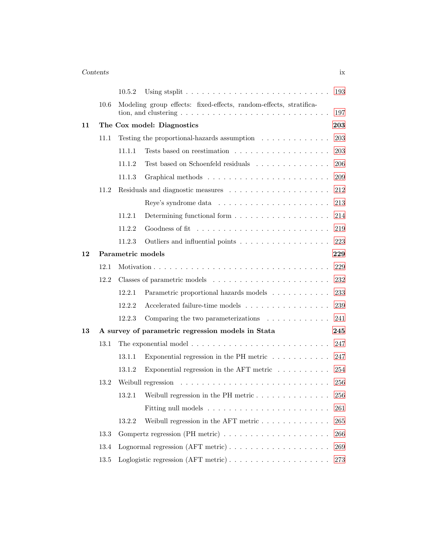## Contents ix

|    |          | 10.5.2            | Using stsplit $\ldots \ldots \ldots \ldots \ldots \ldots \ldots \ldots \ldots$   | 193 |  |  |
|----|----------|-------------------|----------------------------------------------------------------------------------|-----|--|--|
|    | 10.6     |                   | Modeling group effects: fixed-effects, random-effects, stratifica-               | 197 |  |  |
| 11 |          |                   | The Cox model: Diagnostics                                                       | 203 |  |  |
|    | 11.1     |                   | Testing the proportional-hazards assumption $\ldots \ldots \ldots \ldots$        | 203 |  |  |
|    |          | 11.1.1            |                                                                                  | 203 |  |  |
|    |          | 11.1.2            | Test based on Schoenfeld residuals                                               | 206 |  |  |
|    |          | 11.1.3            |                                                                                  | 209 |  |  |
|    | 11.2     |                   |                                                                                  | 212 |  |  |
|    |          |                   | Reye's syndrome data $\dots \dots \dots \dots \dots \dots \dots \dots$           | 213 |  |  |
|    |          | 11.2.1            |                                                                                  | 214 |  |  |
|    |          | 11.2.2            |                                                                                  | 219 |  |  |
|    |          | 11.2.3            | Outliers and influential points                                                  | 223 |  |  |
| 12 |          | Parametric models |                                                                                  | 229 |  |  |
|    | 12.1     | 229               |                                                                                  |     |  |  |
|    | 12.2     |                   |                                                                                  | 232 |  |  |
|    |          | 12.2.1            | Parametric proportional hazards models                                           | 233 |  |  |
|    |          | 12.2.2            | Accelerated failure-time models                                                  | 239 |  |  |
|    |          | 12.2.3            | Comparing the two parameterizations $\ldots \ldots \ldots \ldots$                | 241 |  |  |
| 13 |          |                   | A survey of parametric regression models in Stata                                | 245 |  |  |
|    | 13.1     |                   |                                                                                  | 247 |  |  |
|    |          | 13.1.1            | Exponential regression in the PH metric $\ldots \ldots \ldots$                   | 247 |  |  |
|    |          | 13.1.2            | Exponential regression in the AFT metric $\dots \dots \dots$                     | 254 |  |  |
|    | 13.2     |                   |                                                                                  | 256 |  |  |
|    |          | 13.2.1            | Weibull regression in the PH metric $\ldots \ldots \ldots \ldots \ldots$         | 256 |  |  |
|    |          |                   |                                                                                  | 261 |  |  |
|    |          | 13.2.2            | Weibull regression in the AFT metric $\ldots \ldots \ldots \ldots$               | 265 |  |  |
|    | 13.3     |                   |                                                                                  | 266 |  |  |
|    | 13.4     |                   | Lognormal regression $(AFT \; metric) \ldots \ldots \ldots \ldots \ldots \ldots$ | 269 |  |  |
|    | $13.5\,$ |                   |                                                                                  | 273 |  |  |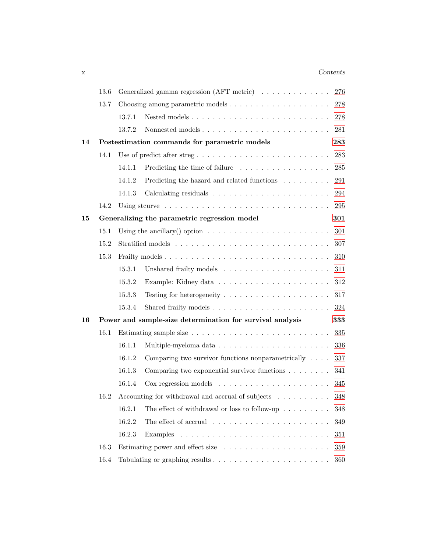|    | 13.6 | Generalized gamma regression (AFT metric)<br>276 |                                                                                       |         |  |  |  |
|----|------|--------------------------------------------------|---------------------------------------------------------------------------------------|---------|--|--|--|
|    | 13.7 |                                                  | Choosing among parametric models                                                      | 278     |  |  |  |
|    |      | 13.7.1                                           |                                                                                       | 278     |  |  |  |
|    |      | 13.7.2                                           | Nonnested models                                                                      | 281     |  |  |  |
| 14 |      |                                                  | Postestimation commands for parametric models                                         | 283     |  |  |  |
|    | 14.1 |                                                  | Use of predict after streg                                                            | 283     |  |  |  |
|    |      | 14.1.1                                           | Predicting the time of failure                                                        | 285     |  |  |  |
|    |      | 14.1.2                                           | Predicting the hazard and related functions                                           | 291     |  |  |  |
|    |      | 14.1.3                                           |                                                                                       | 294     |  |  |  |
|    | 14.2 |                                                  | Using steurve $\ldots \ldots \ldots \ldots \ldots \ldots \ldots \ldots \ldots$        | $\,295$ |  |  |  |
| 15 |      |                                                  | Generalizing the parametric regression model                                          | 301     |  |  |  |
|    | 15.1 |                                                  | Using the ancillary () option $\dots \dots \dots \dots \dots \dots \dots \dots \dots$ | 301     |  |  |  |
|    | 15.2 |                                                  |                                                                                       | 307     |  |  |  |
|    | 15.3 |                                                  |                                                                                       | 310     |  |  |  |
|    |      | 15.3.1                                           |                                                                                       | 311     |  |  |  |
|    |      | 15.3.2                                           |                                                                                       | $312\,$ |  |  |  |
|    |      | 15.3.3                                           | Testing for heterogeneity $\dots \dots \dots \dots \dots \dots \dots$                 | 317     |  |  |  |
|    |      | 15.3.4                                           |                                                                                       | 324     |  |  |  |
| 16 |      |                                                  | Power and sample-size determination for survival analysis                             | 333     |  |  |  |
|    | 16.1 |                                                  |                                                                                       | 335     |  |  |  |
|    |      | 16.1.1                                           |                                                                                       | 336     |  |  |  |
|    |      | 16.1.2                                           | Comparing two survivor functions nonparametrically                                    | 337     |  |  |  |
|    |      | 16.1.3                                           | Comparing two exponential survivor functions $\ldots \ldots$                          | 341     |  |  |  |
|    |      | 16.1.4                                           |                                                                                       | 345     |  |  |  |
|    | 16.2 |                                                  | Accounting for withdrawal and accrual of subjects                                     | 348     |  |  |  |
|    |      | 16.2.1                                           | The effect of withdrawal or loss to follow-up $\dots \dots$                           | 348     |  |  |  |
|    |      | 16.2.2                                           |                                                                                       | 349     |  |  |  |
|    |      | 16.2.3                                           |                                                                                       | 351     |  |  |  |
|    | 16.3 |                                                  |                                                                                       | 359     |  |  |  |
|    | 16.4 |                                                  |                                                                                       | 360     |  |  |  |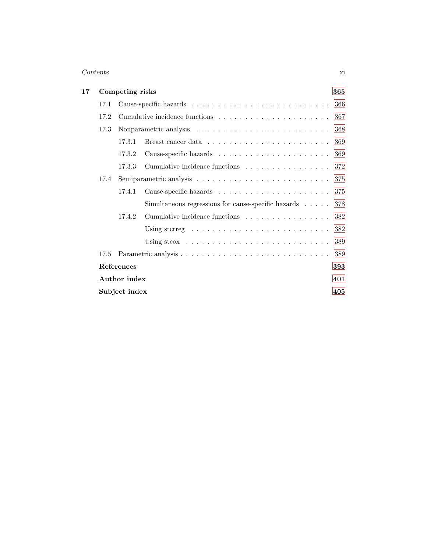## Contents xi

| 17 | Competing risks                                              |              |                                                                             |     |  |  |  |  |  |
|----|--------------------------------------------------------------|--------------|-----------------------------------------------------------------------------|-----|--|--|--|--|--|
|    | 17.1                                                         |              |                                                                             |     |  |  |  |  |  |
|    | 17.2                                                         |              |                                                                             |     |  |  |  |  |  |
|    | 17.3                                                         |              |                                                                             |     |  |  |  |  |  |
|    | 17.3.1<br>17.3.2<br>Cumulative incidence functions<br>17.3.3 |              |                                                                             |     |  |  |  |  |  |
|    |                                                              |              |                                                                             |     |  |  |  |  |  |
|    |                                                              |              |                                                                             |     |  |  |  |  |  |
|    | 17.4                                                         |              |                                                                             |     |  |  |  |  |  |
|    |                                                              | 17.4.1       |                                                                             | 375 |  |  |  |  |  |
|    |                                                              |              | Simultaneous regressions for cause-specific hazards                         | 378 |  |  |  |  |  |
|    |                                                              | 17.4.2       | Cumulative incidence functions                                              | 382 |  |  |  |  |  |
|    |                                                              |              | Using sterreg $\ldots \ldots \ldots \ldots \ldots \ldots \ldots \ldots$     | 382 |  |  |  |  |  |
|    |                                                              |              | Using stox $\ldots \ldots \ldots \ldots \ldots \ldots \ldots \ldots \ldots$ | 389 |  |  |  |  |  |
|    | 17.5                                                         |              |                                                                             | 389 |  |  |  |  |  |
|    |                                                              | References   |                                                                             | 393 |  |  |  |  |  |
|    |                                                              | Author index |                                                                             | 401 |  |  |  |  |  |
|    | Subject index<br>405                                         |              |                                                                             |     |  |  |  |  |  |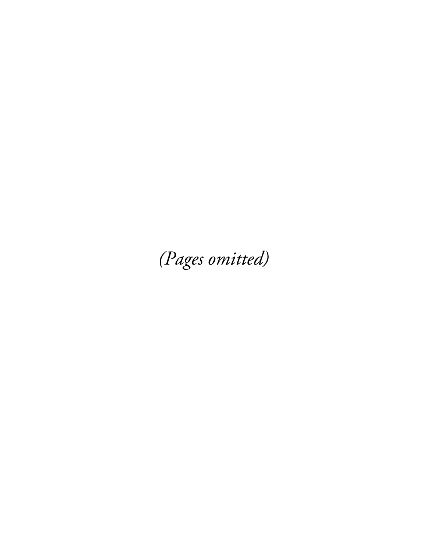(Pages omitted)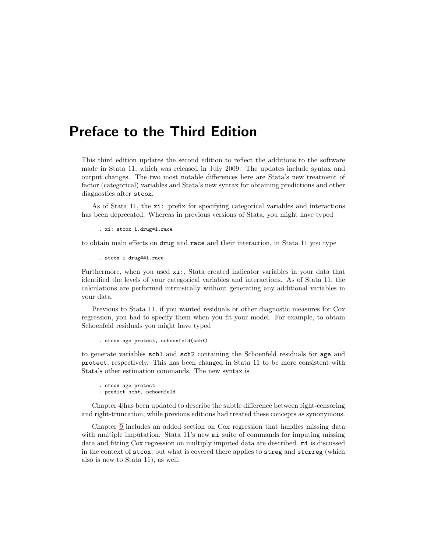## Preface to the Third Edition

This third edition updates the second edition to reflect the additions to the software made in Stata 11, which was released in July 2009. The updates include syntax and output changes. The two most notable differences here are Stata's new treatment of factor (categorical) variables and Stata's new syntax for obtaining predictions and other diagnostics after stcox.

As of Stata 11, the xi: prefix for specifying categorical variables and interactions has been deprecated. Whereas in previous versions of Stata, you might have typed

. xi: stcox i.drug\*i.race

to obtain main effects on drug and race and their interaction, in Stata 11 you type

. stcox i.drug##i.race

Furthermore, when you used xi:, Stata created indicator variables in your data that identified the levels of your categorical variables and interactions. As of Stata 11, the calculations are performed intrinsically without generating any additional variables in your data.

Previous to Stata 11, if you wanted residuals or other diagnostic measures for Cox regression, you had to specify them when you fit your model. For example, to obtain Schoenfeld residuals you might have typed

```
. stcox age protect, schoenfeld(sch*)
```
to generate variables sch1 and sch2 containing the Schoenfeld residuals for age and protect, respectively. This has been changed in Stata 11 to be more consistent with Stata's other estimation commands. The new syntax is

```
. stcox age protect
. predict sch*, schoenfeld
```
Chapter 4 has been updated to describe the subtle difference between right-censoring and right-truncation, while previous editions had treated these concepts as synonymous.

Chapter 9 includes an added section on Cox regression that handles missing data with multiple imputation. Stata 11's new mi suite of commands for imputing missing data and fitting Cox regression on multiply imputed data are described. mi is discussed in the context of stcox, but what is covered there applies to streg and stcrreg (which also is new to Stata 11), as well.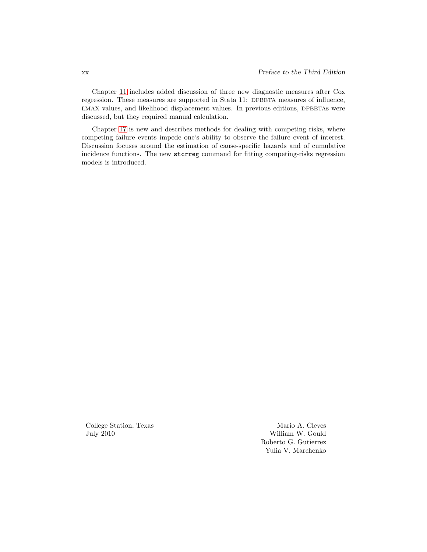Chapter 11 includes added discussion of three new diagnostic measures after Cox regression. These measures are supported in Stata 11: DFBETA measures of influence, LMAX values, and likelihood displacement values. In previous editions, DFBETAs were discussed, but they required manual calculation.

Chapter 17 is new and describes methods for dealing with competing risks, where competing failure events impede one's ability to observe the failure event of interest. Discussion focuses around the estimation of cause-specific hazards and of cumulative incidence functions. The new stcrreg command for fitting competing-risks regression models is introduced.

July 2010 William W. Gould

College Station, Texas Mario A. Cleves Roberto G. Gutierrez Yulia V. Marchenko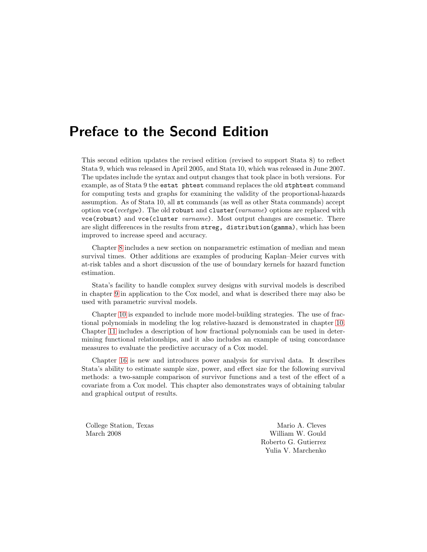## Preface to the Second Edition

This second edition updates the revised edition (revised to support Stata 8) to reflect Stata 9, which was released in April 2005, and Stata 10, which was released in June 2007. The updates include the syntax and output changes that took place in both versions. For example, as of Stata 9 the estat phtest command replaces the old stphtest command for computing tests and graphs for examining the validity of the proportional-hazards assumption. As of Stata 10, all st commands (as well as other Stata commands) accept option  $\text{vec}(vctype)$ . The old robust and cluster( $varmame$ ) options are replaced with vce(robust) and vce(cluster varname). Most output changes are cosmetic. There are slight differences in the results from streg, distribution(gamma), which has been improved to increase speed and accuracy.

Chapter 8 includes a new section on nonparametric estimation of median and mean survival times. Other additions are examples of producing Kaplan–Meier curves with at-risk tables and a short discussion of the use of boundary kernels for hazard function estimation.

Stata's facility to handle complex survey designs with survival models is described in chapter 9 in application to the Cox model, and what is described there may also be used with parametric survival models.

Chapter 10 is expanded to include more model-building strategies. The use of fractional polynomials in modeling the log relative-hazard is demonstrated in chapter 10. Chapter 11 includes a description of how fractional polynomials can be used in determining functional relationships, and it also includes an example of using concordance measures to evaluate the predictive accuracy of a Cox model.

Chapter 16 is new and introduces power analysis for survival data. It describes Stata's ability to estimate sample size, power, and effect size for the following survival methods: a two-sample comparison of survivor functions and a test of the effect of a covariate from a Cox model. This chapter also demonstrates ways of obtaining tabular and graphical output of results.

March 2008 William W. Gould

College Station, Texas Mario A. Cleves Roberto G. Gutierrez Yulia V. Marchenko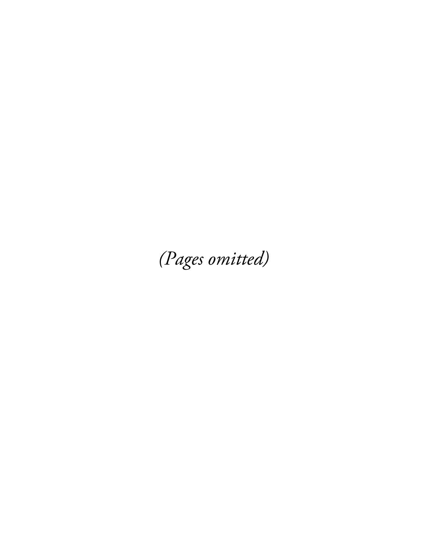(Pages omitted)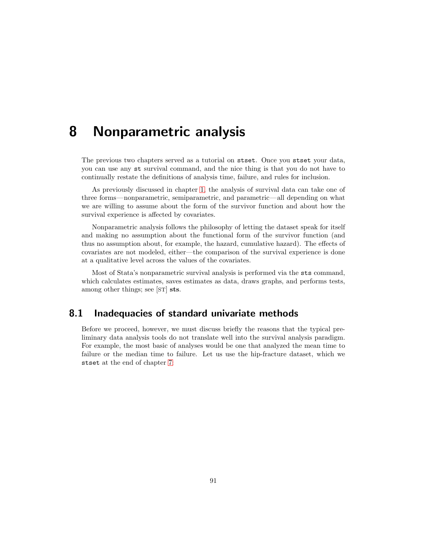# 8 Nonparametric analysis

The previous two chapters served as a tutorial on stset. Once you stset your data, you can use any st survival command, and the nice thing is that you do not have to continually restate the definitions of analysis time, failure, and rules for inclusion.

As previously discussed in chapter 1, the analysis of survival data can take one of three forms—nonparametric, semiparametric, and parametric—all depending on what we are willing to assume about the form of the survivor function and about how the survival experience is affected by covariates.

Nonparametric analysis follows the philosophy of letting the dataset speak for itself and making no assumption about the functional form of the survivor function (and thus no assumption about, for example, the hazard, cumulative hazard). The effects of covariates are not modeled, either—the comparison of the survival experience is done at a qualitative level across the values of the covariates.

Most of Stata's nonparametric survival analysis is performed via the sts command, which calculates estimates, saves estimates as data, draws graphs, and performs tests, among other things; see [ST] sts.

## 8.1 Inadequacies of standard univariate methods

Before we proceed, however, we must discuss briefly the reasons that the typical preliminary data analysis tools do not translate well into the survival analysis paradigm. For example, the most basic of analyses would be one that analyzed the mean time to failure or the median time to failure. Let us use the hip-fracture dataset, which we stset at the end of chapter 7: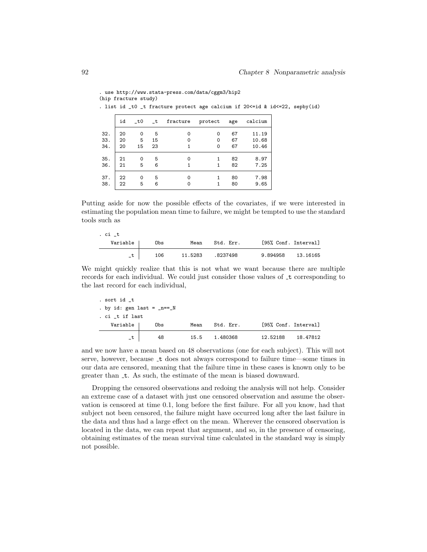|  | . use http://www.stata-press.com/data/cggm3/hip2 |  |  |
|--|--------------------------------------------------|--|--|
|  |                                                  |  |  |

(hip fracture study)

. list id \_t0 \_t fracture protect age calcium if 20<=id & id<=22, sepby(id)

|     | id | $-t0$ | $-t$ | fracture | protect  | age | calcium |
|-----|----|-------|------|----------|----------|-----|---------|
| 32. | 20 | 0     | 5    | $\Omega$ | 0        | 67  | 11.19   |
| 33. | 20 | 5     | 15   | $\Omega$ | $\Omega$ | 67  | 10.68   |
| 34. | 20 | 15    | 23   | 1        | $\Omega$ | 67  | 10.46   |
| 35. | 21 | 0     | 5    | $\Omega$ | 1        | 82  | 8.97    |
| 36. | 21 | 5     | 6    | 1        | 1        | 82  | 7.25    |
| 37. | 22 | 0     | 5    | $\Omega$ | 1        | 80  | 7.98    |
| 38. | 22 | 5     | 6    | 0        | 1        | 80  | 9.65    |

Putting aside for now the possible effects of the covariates, if we were interested in estimating the population mean time to failure, we might be tempted to use the standard tools such as

| . ci _t  |     |         |           |                      |          |  |  |  |
|----------|-----|---------|-----------|----------------------|----------|--|--|--|
| Variable | Obs | Mean    | Std. Err. | [95% Conf. Interval] |          |  |  |  |
|          | 106 | 11.5283 | .8237498  | 9.894958             | 13.16165 |  |  |  |

We might quickly realize that this is not what we want because there are multiple records for each individual. We could just consider those values of  $\pm$  corresponding to the last record for each individual,

| . sort id _t                  |                 |      |           |                      |          |  |  |  |
|-------------------------------|-----------------|------|-----------|----------------------|----------|--|--|--|
| . by id: gen last = $_n == N$ |                 |      |           |                      |          |  |  |  |
|                               | . ci _t if last |      |           |                      |          |  |  |  |
| Variable                      | Obs             | Mean | Std. Err. | [95% Conf. Interval] |          |  |  |  |
| $-t$                          | 48              | 15.5 | 1.480368  | 12.52188             | 18.47812 |  |  |  |

and we now have a mean based on 48 observations (one for each subject). This will not serve, however, because t does not always correspond to failure time—some times in our data are censored, meaning that the failure time in these cases is known only to be greater than  $\pm$ . As such, the estimate of the mean is biased downward.

Dropping the censored observations and redoing the analysis will not help. Consider an extreme case of a dataset with just one censored observation and assume the observation is censored at time 0.1, long before the first failure. For all you know, had that subject not been censored, the failure might have occurred long after the last failure in the data and thus had a large effect on the mean. Wherever the censored observation is located in the data, we can repeat that argument, and so, in the presence of censoring, obtaining estimates of the mean survival time calculated in the standard way is simply not possible.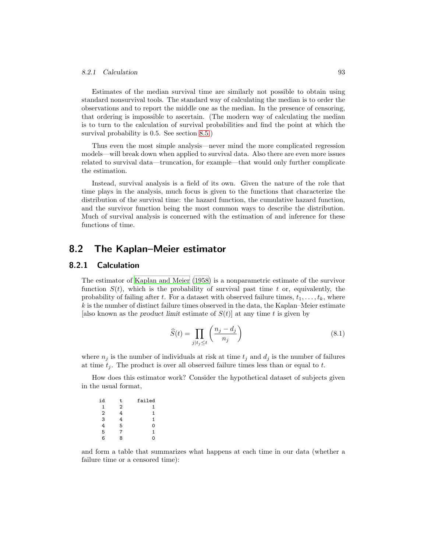Estimates of the median survival time are similarly not possible to obtain using standard nonsurvival tools. The standard way of calculating the median is to order the observations and to report the middle one as the median. In the presence of censoring, that ordering is impossible to ascertain. (The modern way of calculating the median is to turn to the calculation of survival probabilities and find the point at which the survival probability is 0.5. See section 8.5.)

Thus even the most simple analysis—never mind the more complicated regression models—will break down when applied to survival data. Also there are even more issues related to survival data—truncation, for example—that would only further complicate the estimation.

Instead, survival analysis is a field of its own. Given the nature of the role that time plays in the analysis, much focus is given to the functions that characterize the distribution of the survival time: the hazard function, the cumulative hazard function, and the survivor function being the most common ways to describe the distribution. Much of survival analysis is concerned with the estimation of and inference for these functions of time.

## 8.2 The Kaplan–Meier estimator

## 8.2.1 Calculation

The estimator of Kaplan and Meier (1958) is a nonparametric estimate of the survivor function  $S(t)$ , which is the probability of survival past time t or, equivalently, the probability of failing after t. For a dataset with observed failure times,  $t_1, \ldots, t_k$ , where  $k$  is the number of distinct failure times observed in the data, the Kaplan–Meier estimate [also known as the product limit estimate of  $S(t)$ ] at any time t is given by

$$
\widehat{S}(t) = \prod_{j|t_j \le t} \left( \frac{n_j - d_j}{n_j} \right) \tag{8.1}
$$

where  $n_j$  is the number of individuals at risk at time  $t_j$  and  $d_j$  is the number of failures at time  $t_i$ . The product is over all observed failure times less than or equal to t.

How does this estimator work? Consider the hypothetical dataset of subjects given in the usual format,

| t | failed |
|---|--------|
| 2 | 1      |
| 4 | 1      |
| 4 | 1      |
| 5 | 0      |
| 7 | 1      |
| 8 | C      |
|   |        |

and form a table that summarizes what happens at each time in our data (whether a failure time or a censored time):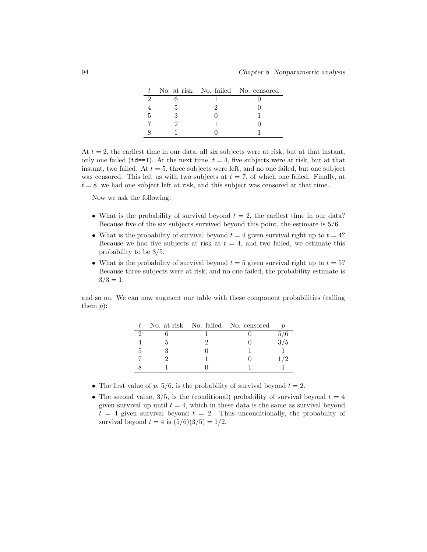| t. |  | No. at risk No. failed No. censored |
|----|--|-------------------------------------|
|    |  |                                     |
|    |  |                                     |
|    |  |                                     |
|    |  |                                     |
|    |  |                                     |

At  $t = 2$ , the earliest time in our data, all six subjects were at risk, but at that instant, only one failed ( $id==1$ ). At the next time,  $t = 4$ , five subjects were at risk, but at that instant, two failed. At  $t = 5$ , three subjects were left, and no one failed, but one subject was censored. This left us with two subjects at  $t = 7$ , of which one failed. Finally, at  $t = 8$ , we had one subject left at risk, and this subject was censored at that time.

Now we ask the following:

- What is the probability of survival beyond  $t = 2$ , the earliest time in our data? Because five of the six subjects survived beyond this point, the estimate is 5/6.
- What is the probability of survival beyond  $t = 4$  given survival right up to  $t = 4$ ? Because we had five subjects at risk at  $t = 4$ , and two failed, we estimate this probability to be 3/5.
- What is the probability of survival beyond  $t = 5$  given survival right up to  $t = 5$ ? Because three subjects were at risk, and no one failed, the probability estimate is  $3/3 = 1$ .

and so on. We can now augment our table with these component probabilities (calling them  $p$ :

| t. |  | No. at risk No. failed No. censored |  |
|----|--|-------------------------------------|--|
|    |  |                                     |  |
|    |  |                                     |  |
| 5  |  |                                     |  |
|    |  |                                     |  |
|    |  |                                     |  |

- The first value of p,  $5/6$ , is the probability of survival beyond  $t = 2$ .
- The second value,  $3/5$ , is the (conditional) probability of survival beyond  $t = 4$ given survival up until  $t = 4$ , which in these data is the same as survival beyond  $t = 4$  given survival beyond  $t = 2$ . Thus unconditionally, the probability of survival beyond  $t = 4$  is  $(5/6)(3/5) = 1/2$ .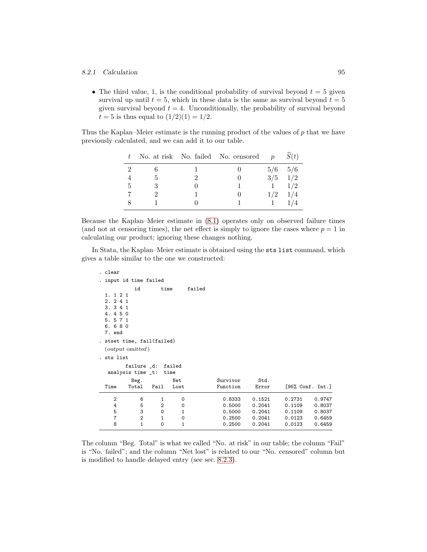#### 8.2.1 Calculation 95

• The third value, 1, is the conditional probability of survival beyond  $t = 5$  given survival up until  $t = 5$ , which in these data is the same as survival beyond  $t = 5$ given survival beyond  $t = 4$ . Unconditionally, the probability of survival beyond  $t = 5$  is thus equal to  $(1/2)(1) = 1/2$ .

Thus the Kaplan–Meier estimate is the running product of the values of p that we have previously calculated, and we can add it to our table.

|   |   | $t$ No. at risk No. failed No. censored $p$ | S(t)        |
|---|---|---------------------------------------------|-------------|
|   |   |                                             | $5/6$ $5/6$ |
|   | 5 |                                             | $3/5$ $1/2$ |
| 5 |   |                                             | $1 \t1/2$   |
|   |   |                                             | $1/2$ $1/4$ |
|   |   |                                             | 1/4         |

Because the Kaplan–Meier estimate in (8.1) operates only on observed failure times (and not at censoring times), the net effect is simply to ignore the cases where  $p = 1$  in calculating our product; ignoring these changes nothing.

In Stata, the Kaplan–Meier estimate is obtained using the sts list command, which gives a table similar to the one we constructed:

| . clear                                                      |                                              |              |              |        |                      |                  |        |                    |
|--------------------------------------------------------------|----------------------------------------------|--------------|--------------|--------|----------------------|------------------|--------|--------------------|
|                                                              | . input id time failed                       |              |              |        |                      |                  |        |                    |
| 1.121<br>2.241<br>3.341<br>4.450<br>5.571<br>6.680<br>7. end | id                                           | time         |              | failed |                      |                  |        |                    |
|                                                              | . stset time, fail(failed)                   |              |              |        |                      |                  |        |                    |
|                                                              | ( <i>output omitted</i> )                    |              |              |        |                      |                  |        |                    |
| . sts list                                                   |                                              |              |              |        |                      |                  |        |                    |
|                                                              | failure _d: failed<br>analysis time _t: time |              |              |        |                      |                  |        |                    |
| Time                                                         | Beg.<br>Total                                | Fail         | Net<br>Lost  |        | Survivor<br>Function | Std.<br>Error    |        | $[95%$ Conf. Int.] |
| $\overline{2}$                                               | 6                                            | 1            | 0            |        |                      |                  | 0.2731 |                    |
| 4                                                            | 5                                            | 2            | 0            |        | 0.8333<br>0.5000     | 0.1521<br>0.2041 | 0.1109 | 0.9747<br>0.8037   |
| 5                                                            | 3                                            | 0            | 1            |        | 0.5000               | 0.2041           | 0.1109 | 0.8037             |
| 7                                                            | $\overline{2}$                               | $\mathbf{1}$ | 0            |        | 0.2500               | 0.2041           | 0.0123 | 0.6459             |
| 8                                                            | $\mathbf{1}$                                 | $\mathbf 0$  | $\mathbf{1}$ |        | 0.2500               | 0.2041           | 0.0123 | 0.6459             |
|                                                              |                                              |              |              |        |                      |                  |        |                    |

The column "Beg. Total" is what we called "No. at risk" in our table; the column "Fail" is "No. failed"; and the column "Net lost" is related to our "No. censored" column but is modified to handle delayed entry (see sec. 8.2.3).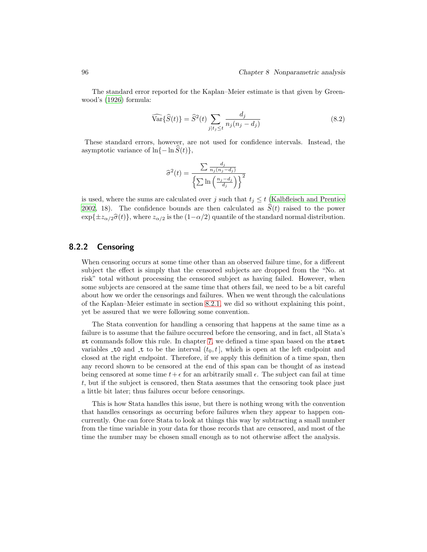The standard error reported for the Kaplan–Meier estimate is that given by Greenwood's (1926) formula:

$$
\widehat{\text{Var}}\{\widehat{S}(t)\} = \widehat{S}^2(t) \sum_{j|t_j \le t} \frac{d_j}{n_j(n_j - d_j)}\tag{8.2}
$$

These standard errors, however, are not used for confidence intervals. Instead, the asymptotic variance of  $\ln\{-\ln S(t)\},\$ 

$$
\widehat{\sigma}^2(t) = \frac{\sum \frac{d_j}{n_j(n_j - d_j)}}{\left\{\sum \ln\left(\frac{n_j - d_j}{d_j}\right)\right\}^2}
$$

is used, where the sums are calculated over j such that  $t_j \leq t$  (Kalbfleisch and Prentice 2002, 18). The confidence bounds are then calculated as  $S(t)$  raised to the power  $\exp{\{\pm z_{\alpha/2}\hat{\sigma}(t)\}}$ , where  $z_{\alpha/2}$  is the  $(1-\alpha/2)$  quantile of the standard normal distribution.

## 8.2.2 Censoring

When censoring occurs at some time other than an observed failure time, for a different subject the effect is simply that the censored subjects are dropped from the "No. at risk" total without processing the censored subject as having failed. However, when some subjects are censored at the same time that others fail, we need to be a bit careful about how we order the censorings and failures. When we went through the calculations of the Kaplan–Meier estimate in section 8.2.1, we did so without explaining this point, yet be assured that we were following some convention.

The Stata convention for handling a censoring that happens at the same time as a failure is to assume that the failure occurred before the censoring, and in fact, all Stata's st commands follow this rule. In chapter 7, we defined a time span based on the stset variables  $\text{\texttt{t0}}$  and  $\text{\texttt{t}}$  to be the interval  $(t_0, t]$ , which is open at the left endpoint and closed at the right endpoint. Therefore, if we apply this definition of a time span, then any record shown to be censored at the end of this span can be thought of as instead being censored at some time  $t+\epsilon$  for an arbitrarily small  $\epsilon$ . The subject can fail at time t, but if the subject is censored, then Stata assumes that the censoring took place just a little bit later; thus failures occur before censorings.

This is how Stata handles this issue, but there is nothing wrong with the convention that handles censorings as occurring before failures when they appear to happen concurrently. One can force Stata to look at things this way by subtracting a small number from the time variable in your data for those records that are censored, and most of the time the number may be chosen small enough as to not otherwise affect the analysis.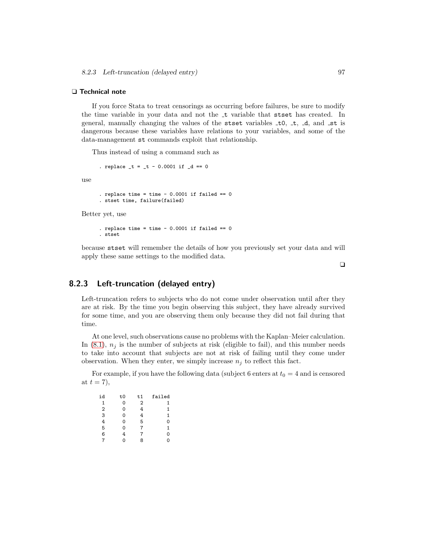#### ❑ Technical note

If you force Stata to treat censorings as occurring before failures, be sure to modify the time variable in your data and not the  $\pm$  variable that stset has created. In general, manually changing the values of the stset variables  $\pm 0$ ,  $\pm$ ,  $\pm$ ,  $\pm$ , and  $\pm$ st is dangerous because these variables have relations to your variables, and some of the data-management st commands exploit that relationship.

Thus instead of using a command such as

```
. replace _t = _t - 0.0001 if _d == 0
```
use

```
. replace time = time - 0.0001 if failed == 0. stset time, failure(failed)
```
Better yet, use

. replace time = time -  $0.0001$  if failed == 0 . stset

because stset will remember the details of how you previously set your data and will apply these same settings to the modified data.

❑

#### 8.2.3 Left-truncation (delayed entry)

Left-truncation refers to subjects who do not come under observation until after they are at risk. By the time you begin observing this subject, they have already survived for some time, and you are observing them only because they did not fail during that time.

At one level, such observations cause no problems with the Kaplan–Meier calculation. In  $(8.1)$ ,  $n_j$  is the number of subjects at risk (eligible to fail), and this number needs to take into account that subjects are not at risk of failing until they come under observation. When they enter, we simply increase  $n_i$  to reflect this fact.

For example, if you have the following data (subject 6 enters at  $t_0 = 4$  and is censored at  $t = 7$ ,

| id | t0 | t1 | failed |
|----|----|----|--------|
| 1  | 0  | 2  | 1      |
| 2  | 0  | 4  | 1      |
| 3  | 0  | 4  | 1      |
| 4  | 0  | 5  | 0      |
| 5  | 0  | 7  | 1      |
| 6  | 4  | 7  | 0      |
| 7  | O  | Զ  | O      |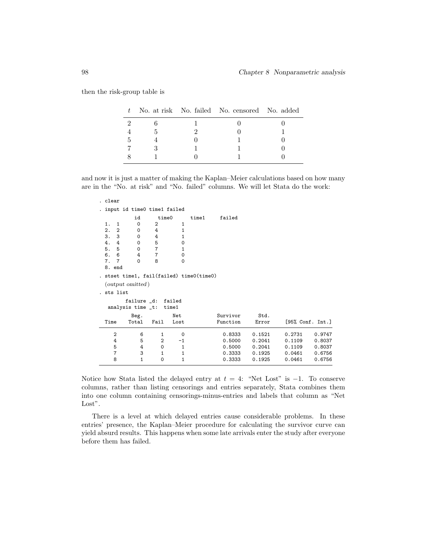then the risk-group table is

|   |  | t No. at risk No. failed No. censored No. added |  |
|---|--|-------------------------------------------------|--|
|   |  |                                                 |  |
|   |  |                                                 |  |
| 5 |  |                                                 |  |
|   |  |                                                 |  |
|   |  |                                                 |  |

and now it is just a matter of making the Kaplan–Meier calculations based on how many are in the "No. at risk" and "No. failed" columns. We will let Stata do the work:

| . clear                        |                                          |                |              |       |          |        |        |                    |
|--------------------------------|------------------------------------------|----------------|--------------|-------|----------|--------|--------|--------------------|
|                                | . input id time0 time1 failed            |                |              |       |          |        |        |                    |
|                                | id                                       |                | time0        | time1 | failed   |        |        |                    |
| 1.<br>$\overline{\phantom{0}}$ | $\mathbf 0$                              | 2              | $\mathbf{1}$ |       |          |        |        |                    |
| 2.<br>$\overline{2}$           | 0                                        | 4              | 1            |       |          |        |        |                    |
| 3.<br>3                        | 0                                        | 4              | $\mathbf{1}$ |       |          |        |        |                    |
| 4.<br>4                        | 0                                        | 5              | 0            |       |          |        |        |                    |
| 5.<br>5                        | $\mathbf 0$                              | $\overline{7}$ | 1            |       |          |        |        |                    |
| 6.<br>6                        | 4                                        | $\overline{7}$ | 0            |       |          |        |        |                    |
| 7.<br>$\overline{7}$           | $\mathbf 0$                              | 8              | 0            |       |          |        |        |                    |
| 8. end                         |                                          |                |              |       |          |        |        |                    |
|                                | . stset time1, fail(failed) time0(time0) |                |              |       |          |        |        |                    |
|                                | ( <i>output omitted</i> )                |                |              |       |          |        |        |                    |
| . sts list                     |                                          |                |              |       |          |        |        |                    |
|                                | failure _d: failed                       |                |              |       |          |        |        |                    |
|                                | analysis time _t: time1                  |                |              |       |          |        |        |                    |
|                                | Beg.                                     |                | Net          |       | Survivor | Std.   |        |                    |
| Time                           | Total                                    | Fail           | Lost         |       | Function | Error  |        | $[95%$ Conf. Int.] |
| $\overline{2}$                 | 6                                        | $\mathbf{1}$   | 0            |       | 0.8333   | 0.1521 | 0.2731 | 0.9747             |
| 4                              | 5                                        | $\overline{2}$ | $-1$         |       | 0.5000   | 0.2041 | 0.1109 | 0.8037             |
| 5                              | 4                                        | 0              | 1            |       | 0.5000   | 0.2041 | 0.1109 | 0.8037             |
| 7                              | 3                                        | $\mathbf{1}$   | 1            |       | 0.3333   | 0.1925 | 0.0461 | 0.6756             |
| 8                              | 1                                        | 0              | 1            |       | 0.3333   | 0.1925 | 0.0461 | 0.6756             |
|                                |                                          |                |              |       |          |        |        |                    |

Notice how Stata listed the delayed entry at  $t = 4$ : "Net Lost" is -1. To conserve columns, rather than listing censorings and entries separately, Stata combines them into one column containing censorings-minus-entries and labels that column as "Net Lost".

There is a level at which delayed entries cause considerable problems. In these entries' presence, the Kaplan–Meier procedure for calculating the survivor curve can yield absurd results. This happens when some late arrivals enter the study after everyone before them has failed.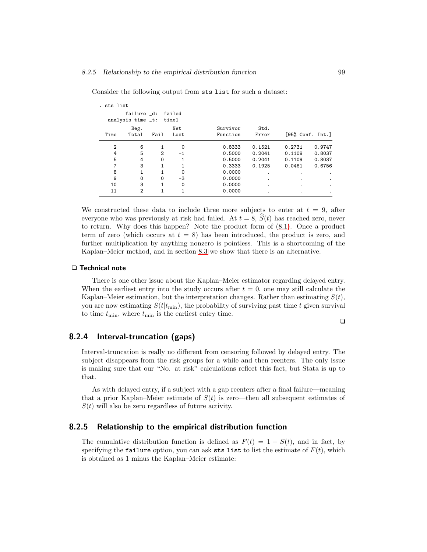| . sts list     |                                        |      |          |          |        |        |                   |
|----------------|----------------------------------------|------|----------|----------|--------|--------|-------------------|
|                | failure _d:<br>analysis time _t: time1 |      | failed   |          |        |        |                   |
|                | Beg.                                   |      | Net      | Survivor | Std.   |        |                   |
| Time           | Total                                  | Fail | Lost     | Function | Error  |        | $[95%$ Conf. Int. |
| $\overline{2}$ | 6                                      |      | $\Omega$ | 0.8333   | 0.1521 | 0.2731 | 0.9747            |
| 4              | 5                                      | 2    | $-1$     | 0.5000   | 0.2041 | 0.1109 | 0.8037            |
| 5              | 4                                      | 0    |          | 0.5000   | 0.2041 | 0.1109 | 0.8037            |
| 7              | 3                                      |      |          | 0.3333   | 0.1925 | 0.0461 | 0.6756            |
| 8              |                                        |      | 0        | 0.0000   |        | ٠      |                   |
| 9              | $\Omega$                               | 0    | $-3$     | 0.0000   | ٠      | ٠      |                   |
| 10             | 3                                      |      | 0        | 0.0000   | ٠      |        |                   |
| 11             | $\overline{2}$                         |      |          | 0.0000   |        |        | ٠                 |

Consider the following output from sts list for such a dataset:

We constructed these data to include three more subjects to enter at  $t = 9$ , after everyone who was previously at risk had failed. At  $t = 8$ ,  $\hat{S}(t)$  has reached zero, never to return. Why does this happen? Note the product form of (8.1). Once a product term of zero (which occurs at  $t = 8$ ) has been introduced, the product is zero, and further multiplication by anything nonzero is pointless. This is a shortcoming of the Kaplan–Meier method, and in section 8.3 we show that there is an alternative.

#### ❑ Technical note

There is one other issue about the Kaplan–Meier estimator regarding delayed entry. When the earliest entry into the study occurs after  $t = 0$ , one may still calculate the Kaplan–Meier estimation, but the interpretation changes. Rather than estimating  $S(t)$ , you are now estimating  $S(t|t_{\min})$ , the probability of surviving past time t given survival to time  $t_{\text{min}}$ , where  $t_{\text{min}}$  is the earliest entry time.

❑

## 8.2.4 Interval-truncation (gaps)

Interval-truncation is really no different from censoring followed by delayed entry. The subject disappears from the risk groups for a while and then reenters. The only issue is making sure that our "No. at risk" calculations reflect this fact, but Stata is up to that.

As with delayed entry, if a subject with a gap reenters after a final failure—meaning that a prior Kaplan–Meier estimate of  $S(t)$  is zero—then all subsequent estimates of  $S(t)$  will also be zero regardless of future activity.

#### 8.2.5 Relationship to the empirical distribution function

The cumulative distribution function is defined as  $F(t) = 1 - S(t)$ , and in fact, by specifying the failure option, you can ask sts list to list the estimate of  $F(t)$ , which is obtained as 1 minus the Kaplan–Meier estimate: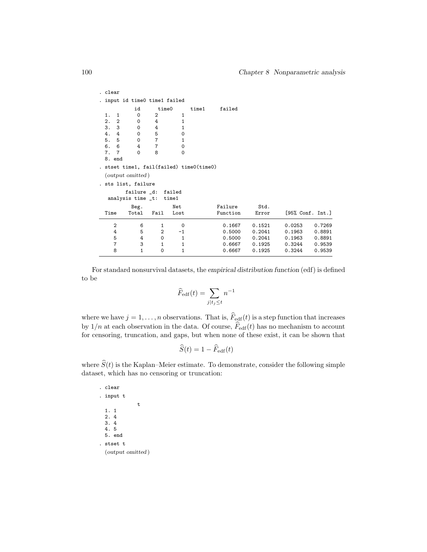| . crear              |                         |                |                               |                                          |          |        |                    |        |
|----------------------|-------------------------|----------------|-------------------------------|------------------------------------------|----------|--------|--------------------|--------|
|                      |                         |                | . input id time0 time1 failed |                                          |          |        |                    |        |
|                      | id                      |                | time0                         | time1                                    | failed   |        |                    |        |
| 1.<br>1              | 0                       | 2              | 1                             |                                          |          |        |                    |        |
| 2.<br>$\overline{2}$ | 0                       | 4              | 1                             |                                          |          |        |                    |        |
| 3.<br>3              | 0                       | 4              | 1                             |                                          |          |        |                    |        |
| 4.<br>4              | 0                       | 5              | $\Omega$                      |                                          |          |        |                    |        |
| 5.<br>5              | 0                       | 7              | 1                             |                                          |          |        |                    |        |
| 6.<br>6              | 4                       | $\overline{7}$ | $\Omega$                      |                                          |          |        |                    |        |
| 7.<br>$\overline{7}$ | 0                       | 8              | $\Omega$                      |                                          |          |        |                    |        |
| 8. end               |                         |                |                               |                                          |          |        |                    |        |
|                      |                         |                |                               | . stset time1, fail(failed) time0(time0) |          |        |                    |        |
|                      | (output omitted)        |                |                               |                                          |          |        |                    |        |
|                      | . sts list, failure     |                |                               |                                          |          |        |                    |        |
|                      | failure _d: failed      |                |                               |                                          |          |        |                    |        |
|                      | analysis time _t: time1 |                |                               |                                          |          |        |                    |        |
|                      | Beg.                    |                | Net                           |                                          | Failure  | Std.   |                    |        |
| Time                 | Total                   | Fail           | Lost                          |                                          | Function | Error  | $[95%$ Conf. Int.] |        |
| 2                    | 6                       | 1              | 0                             |                                          | 0.1667   | 0.1521 | 0.0253             | 0.7269 |
| 4                    | 5                       | $\overline{2}$ | $-1$                          |                                          | 0.5000   | 0.2041 | 0.1963             | 0.8891 |
| 5                    | 4                       | 0              | 1                             |                                          | 0.5000   | 0.2041 | 0.1963             | 0.8891 |
| 7                    | 3                       | 1              | 1                             |                                          | 0.6667   | 0.1925 | 0.3244             | 0.9539 |
| 8                    | 1                       | 0              | 1                             |                                          | 0.6667   | 0.1925 | 0.3244             | 0.9539 |
|                      |                         |                |                               |                                          |          |        |                    |        |

For standard nonsurvival datasets, the empirical distribution function (edf) is defined to be

$$
\widehat{F}_{\text{edf}}(t) = \sum_{j|t_j \le t} n^{-1}
$$

where we have  $j = 1, ..., n$  observations. That is,  $\widehat{F}_{\text{edf}}(t)$  is a step function that increases by  $1/n$  at each observation in the data. Of course,  $F_{\text{edf}}(t)$  has no mechanism to account for censoring, truncation, and gaps, but when none of these exist, it can be shown that

$$
\widehat{S}(t) = 1 - \widehat{F}_{\text{edf}}(t)
$$

where  $\hat{S}(t)$  is the Kaplan–Meier estimate. To demonstrate, consider the following simple dataset, which has no censoring or truncation:

. clear . input t t 1. 1 2. 4 3. 4 4. 5 5. end . stset t (output omitted )

. clear